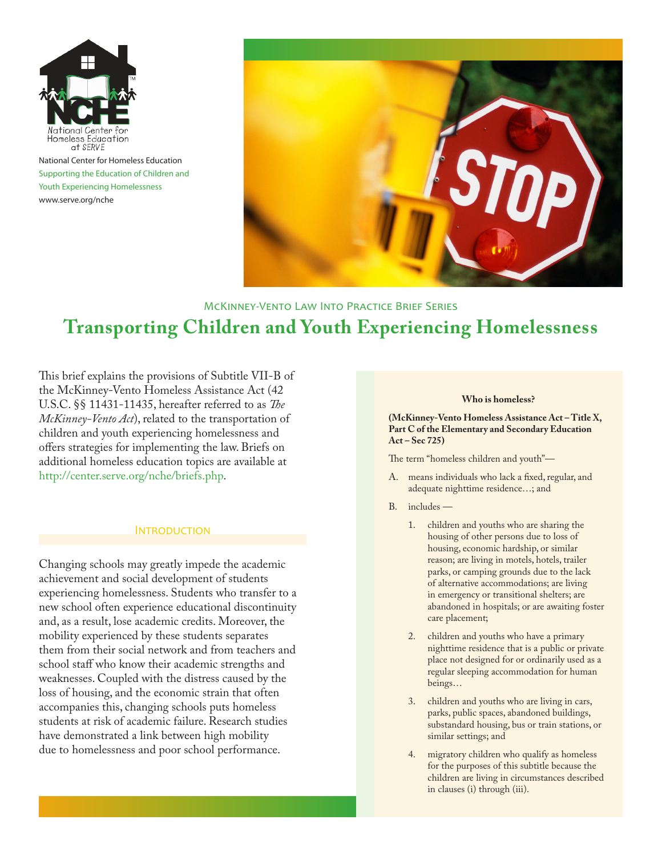

National Center for Homeless Education Supporting the Education of Children and Youth Experiencing Homelessness www.serve.org/nche



# McKinney-Vento Law Into Practice Brief Series **Transporting Children and Youth Experiencing Homelessness**

This brief explains the provisions of Subtitle VII-B of the McKinney-Vento Homeless Assistance Act (42 U.S.C. §§ 11431-11435, hereafter referred to as *The McKinney-Vento Act*), related to the transportation of children and youth experiencing homelessness and offers strategies for implementing the law. Briefs on additional homeless education topics are available at [http://center.serve.org/nche/briefs.php.](http://center.serve.org/nche/briefs.php)

### **INTRODUCTION**

Changing schools may greatly impede the academic achievement and social development of students experiencing homelessness. Students who transfer to a new school often experience educational discontinuity and, as a result, lose academic credits. Moreover, the mobility experienced by these students separates them from their social network and from teachers and school staff who know their academic strengths and weaknesses. Coupled with the distress caused by the loss of housing, and the economic strain that often accompanies this, changing schools puts homeless students at risk of academic failure. Research studies have demonstrated a link between high mobility due to homelessness and poor school performance.

#### **Who is homeless?**

**(McKinney-Vento Homeless Assistance Act – Title X, Part C of the Elementary and Secondary Education Act – Sec 725)**

The term "homeless children and youth"—

- A. means individuals who lack a fixed, regular, and adequate nighttime residence…; and
- B. includes
	- 1. children and youths who are sharing the housing of other persons due to loss of housing, economic hardship, or similar reason; are living in motels, hotels, trailer parks, or camping grounds due to the lack of alternative accommodations; are living in emergency or transitional shelters; are abandoned in hospitals; or are awaiting foster care placement;
	- 2. children and youths who have a primary nighttime residence that is a public or private place not designed for or ordinarily used as a regular sleeping accommodation for human beings…
	- children and youths who are living in cars, parks, public spaces, abandoned buildings, substandard housing, bus or train stations, or similar settings; and
	- 4. migratory children who qualify as homeless for the purposes of this subtitle because the children are living in circumstances described in clauses (i) through (iii).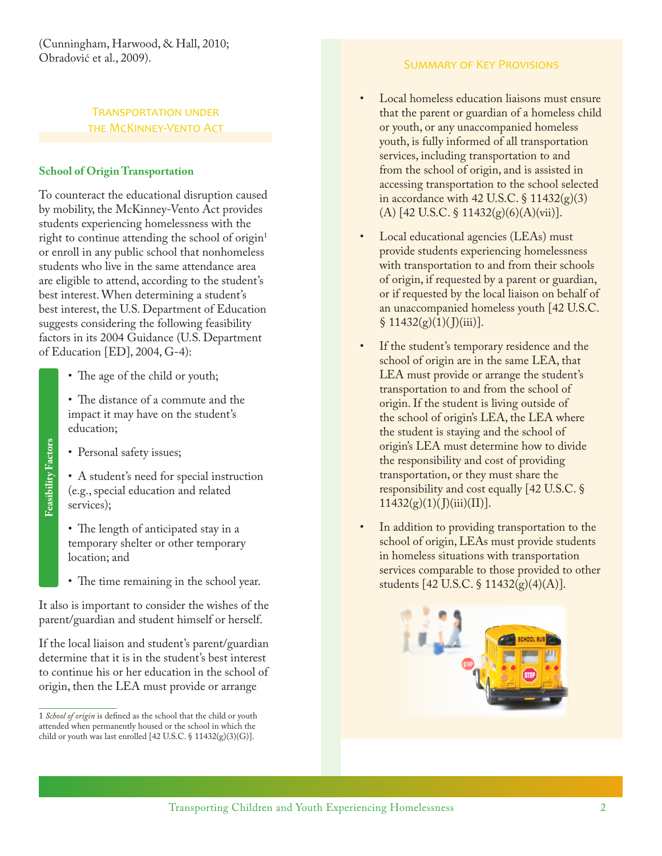# Transportation under the McKinney-Vento Act

### **School of Origin Transportation**

To counteract the educational disruption caused by mobility, the McKinney-Vento Act provides students experiencing homelessness with the right to continue attending the school of origin<sup>1</sup> or enroll in any public school that nonhomeless students who live in the same attendance area are eligible to attend, according to the student's best interest. When determining a student's best interest, the U.S. Department of Education suggests considering the following feasibility factors in its 2004 Guidance (U.S. Department of Education [ED], 2004, G-4):

- The age of the child or youth;
- The distance of a commute and the impact it may have on the student's education;
- Personal safety issues;

**Feasibility Factors Feasibility Factors**

• A student's need for special instruction (e.g., special education and related services);

- The length of anticipated stay in a temporary shelter or other temporary location; and
- The time remaining in the school year.

It also is important to consider the wishes of the parent/guardian and student himself or herself.

If the local liaison and student's parent/guardian determine that it is in the student's best interest to continue his or her education in the school of origin, then the LEA must provide or arrange

# Summary of Key Provisions

- Local homeless education liaisons must ensure that the parent or guardian of a homeless child or youth, or any unaccompanied homeless youth, is fully informed of all transportation services, including transportation to and from the school of origin, and is assisted in accessing transportation to the school selected in accordance with 42 U.S.C.  $\S$  11432(g)(3)  $(A)$  [42 U.S.C. § 11432(g)(6)(A)(vii)].
- Local educational agencies (LEAs) must provide students experiencing homelessness with transportation to and from their schools of origin, if requested by a parent or guardian, or if requested by the local liaison on behalf of an unaccompanied homeless youth [42 U.S.C.  $§ 11432(g)(1)(J)(iii)$ .
- If the student's temporary residence and the school of origin are in the same LEA, that LEA must provide or arrange the student's transportation to and from the school of origin. If the student is living outside of the school of origin's LEA, the LEA where the student is staying and the school of origin's LEA must determine how to divide the responsibility and cost of providing transportation, or they must share the responsibility and cost equally [42 U.S.C. §  $11432(g)(1)(J)(iii)(II)].$
- In addition to providing transportation to the school of origin, LEAs must provide students in homeless situations with transportation services comparable to those provided to other students [42 U.S.C. § 11432(g)(4)(A)].



<sup>1</sup> *School of origin* is defined as the school that the child or youth attended when permanently housed or the school in which the child or youth was last enrolled [42 U.S.C. § 11432(g)(3)(G)].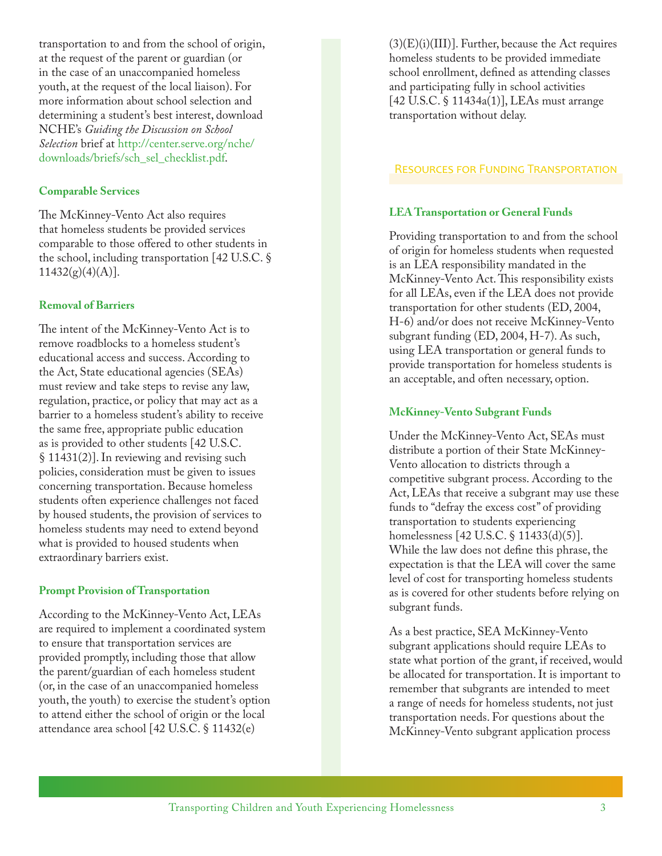transportation to and from the school of origin, at the request of the parent or guardian (or in the case of an unaccompanied homeless youth, at the request of the local liaison). For more information about school selection and determining a student's best interest, download NCHE's *Guiding the Discussion on School Selection* brief at [http://center.serve.org/nche/](http://center.serve.org/nche/downloads/briefs/sch_sel_checklist.pdf) [downloads/briefs/sch\\_sel\\_checklist.pdf](http://center.serve.org/nche/downloads/briefs/sch_sel_checklist.pdf).

### **Comparable Services**

The McKinney-Vento Act also requires that homeless students be provided services comparable to those offered to other students in the school, including transportation [42 U.S.C. §  $11432(g)(4)(A)$ ].

### **Removal of Barriers**

The intent of the McKinney-Vento Act is to remove roadblocks to a homeless student's educational access and success. According to the Act, State educational agencies (SEAs) must review and take steps to revise any law, regulation, practice, or policy that may act as a barrier to a homeless student's ability to receive the same free, appropriate public education as is provided to other students [42 U.S.C. § 11431(2)]. In reviewing and revising such policies, consideration must be given to issues concerning transportation. Because homeless students often experience challenges not faced by housed students, the provision of services to homeless students may need to extend beyond what is provided to housed students when extraordinary barriers exist.

### **Prompt Provision of Transportation**

According to the McKinney-Vento Act, LEAs are required to implement a coordinated system to ensure that transportation services are provided promptly, including those that allow the parent/guardian of each homeless student (or, in the case of an unaccompanied homeless youth, the youth) to exercise the student's option to attend either the school of origin or the local attendance area school [42 U.S.C. § 11432(e)

 $(3)(E)(i)(III)$ ]. Further, because the Act requires homeless students to be provided immediate school enrollment, defined as attending classes and participating fully in school activities [42 U.S.C. § 11434a(1)], LEAs must arrange transportation without delay.

# Resources for Funding Transportation

# **LEA Transportation or General Funds**

Providing transportation to and from the school of origin for homeless students when requested is an LEA responsibility mandated in the McKinney-Vento Act. This responsibility exists for all LEAs, even if the LEA does not provide transportation for other students (ED, 2004, H-6) and/or does not receive McKinney-Vento subgrant funding (ED, 2004, H-7). As such, using LEA transportation or general funds to provide transportation for homeless students is an acceptable, and often necessary, option.

### **McKinney-Vento Subgrant Funds**

Under the McKinney-Vento Act, SEAs must distribute a portion of their State McKinney-Vento allocation to districts through a competitive subgrant process. According to the Act, LEAs that receive a subgrant may use these funds to "defray the excess cost" of providing transportation to students experiencing homelessness [42 U.S.C. § 11433(d)(5)]. While the law does not define this phrase, the expectation is that the LEA will cover the same level of cost for transporting homeless students as is covered for other students before relying on subgrant funds.

As a best practice, SEA McKinney-Vento subgrant applications should require LEAs to state what portion of the grant, if received, would be allocated for transportation. It is important to remember that subgrants are intended to meet a range of needs for homeless students, not just transportation needs. For questions about the McKinney-Vento subgrant application process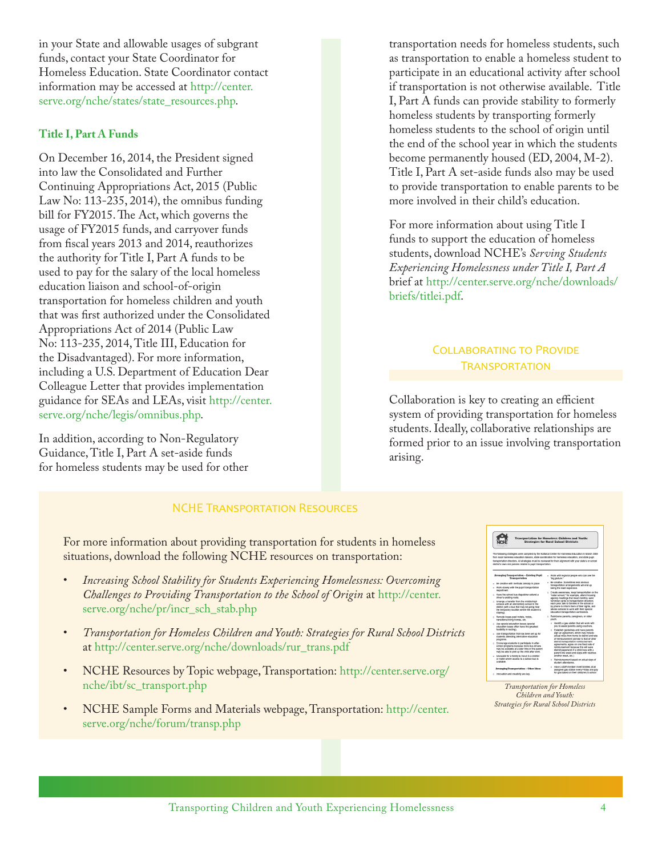in your State and allowable usages of subgrant funds, contact your State Coordinator for Homeless Education. State Coordinator contact information may be accessed at [http://center.](http://center.serve.org/nche/states/state_resources.php) [serve.org/nche/states/state\\_resources.php.](http://center.serve.org/nche/states/state_resources.php)

# <span id="page-3-0"></span>**Title I, Part A Funds**

On December 16, 2014, the President signed into law the Consolidated and Further Continuing Appropriations Act, 2015 (Public Law No: 113-235, 2014), the omnibus funding bill for FY2015. The Act, which governs the usage of FY2015 funds, and carryover funds from fiscal years 2013 and 2014, reauthorizes the authority for Title I, Part A funds to be used to pay for the salary of the local homeless education liaison and school-of-origin transportation for homeless children and youth that was first authorized under the Consolidated Appropriations Act of 2014 (Public Law No: 113-235, 2014, Title III, Education for the Disadvantaged). For more information, including a U.S. Department of Education Dear Colleague Letter that provides implementation guidance for SEAs and LEAs, visit [http://center.](http://center.serve.org/nche/legis/omnibus.php) [serve.org/nche/legis/omnibus.php](http://center.serve.org/nche/legis/omnibus.php).

In addition, according to Non-Regulatory Guidance, Title I, Part A set-aside funds for homeless students may be used for other

transportation needs for homeless students, such as transportation to enable a homeless student to participate in an educational activity after school if transportation is not otherwise available. Title I, Part A funds can provide stability to formerly homeless students by transporting formerly homeless students to the school of origin until the end of the school year in which the students become permanently housed (ED, 2004, M-2). Title I, Part A set-aside funds also may be used to provide transportation to enable parents to be more involved in their child's education.

For more information about using Title I funds to support the education of homeless students, download NCHE's *Serving Students Experiencing Homelessness under Title I, Part A* brief at [http://center.serve.org/nche/downloads/](http://center.serve.org/nche/downloads/briefs/titlei.pdf) [briefs/titlei.pdf](http://center.serve.org/nche/downloads/briefs/titlei.pdf).

# **COLLABORATING TO PROVIDE TRANSPORTATION**

Collaboration is key to creating an efficient system of providing transportation for homeless students. Ideally, collaborative relationships are formed prior to an issue involving transportation arising.

# NCHE Transportation Resources

For more information about providing transportation for students in homeless situations, download the following NCHE resources on transportation:

- **Increasing School Stability for Students Experiencing Homelessness: Overcoming** *Challenges to Providing Transportation to the School of Origin* at [http://center.](http://center.serve.org/nche/pr/incr_sch_stab.php) [serve.org/nche/pr/incr\\_sch\\_stab.php](http://center.serve.org/nche/pr/incr_sch_stab.php)
- *Transportation for Homeless Children and Youth: Strategies for Rural School Districts* at [http://center.serve.org/nche/downloads/rur\\_trans.pdf](http://center.serve.org/nche/downloads/rur_trans.pdf)
- NCHE Resources by Topic webpage, Transportation: [http://center.serve.org/](http://center.serve.org/nche/ibt/sc_transport.php) [nche/ibt/sc\\_transport.php](http://center.serve.org/nche/ibt/sc_transport.php)
- NCHE Sample Forms and Materials webpage, Transportation: [http://center.](http://center.serve.org/nche/forum/transp.php) [serve.org/nche/forum/transp.php](http://center.serve.org/nche/forum/transp.php)



*Transportation for Homeless Children and Youth: Strategies for Rural School Districts*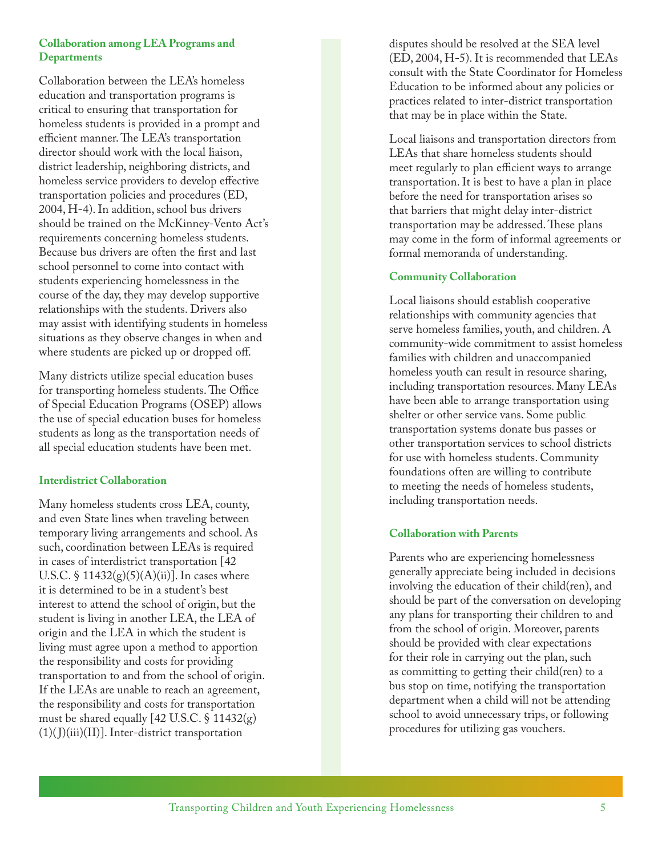### **Collaboration among LEA Programs and Departments**

Collaboration between the LEA's homeless education and transportation programs is critical to ensuring that transportation for homeless students is provided in a prompt and efficient manner. The LEA's transportation director should work with the local liaison, district leadership, neighboring districts, and homeless service providers to develop effective transportation policies and procedures (ED, 2004, H-4). In addition, school bus drivers should be trained on the McKinney-Vento Act's requirements concerning homeless students. Because bus drivers are often the first and last school personnel to come into contact with students experiencing homelessness in the course of the day, they may develop supportive relationships with the students. Drivers also may assist with identifying students in homeless situations as they observe changes in when and where students are picked up or dropped off.

Many districts utilize special education buses for transporting homeless students. The Office of Special Education Programs (OSEP) allows the use of special education buses for homeless students as long as the transportation needs of all special education students have been met.

### **Interdistrict Collaboration**

Many homeless students cross LEA, county, and even State lines when traveling between temporary living arrangements and school. As such, coordination between LEAs is required in cases of interdistrict transportation [42 U.S.C. §  $11432(g)(5)(A)(ii)$ ]. In cases where it is determined to be in a student's best interest to attend the school of origin, but the student is living in another LEA, the LEA of origin and the LEA in which the student is living must agree upon a method to apportion the responsibility and costs for providing transportation to and from the school of origin. If the LEAs are unable to reach an agreement, the responsibility and costs for transportation must be shared equally [42 U.S.C. § 11432(g)  $(1)(J)(iii)(II)$ . Inter-district transportation

disputes should be resolved at the SEA level (ED, 2004, H-5). It is recommended that LEAs consult with the State Coordinator for Homeless Education to be informed about any policies or practices related to inter-district transportation that may be in place within the State.

Local liaisons and transportation directors from LEAs that share homeless students should meet regularly to plan efficient ways to arrange transportation. It is best to have a plan in place before the need for transportation arises so that barriers that might delay inter-district transportation may be addressed. These plans may come in the form of informal agreements or formal memoranda of understanding.

# **Community Collaboration**

Local liaisons should establish cooperative relationships with community agencies that serve homeless families, youth, and children. A community-wide commitment to assist homeless families with children and unaccompanied homeless youth can result in resource sharing, including transportation resources. Many LEAs have been able to arrange transportation using shelter or other service vans. Some public transportation systems donate bus passes or other transportation services to school districts for use with homeless students. Community foundations often are willing to contribute to meeting the needs of homeless students, including transportation needs.

# **Collaboration with Parents**

Parents who are experiencing homelessness generally appreciate being included in decisions involving the education of their child(ren), and should be part of the conversation on developing any plans for transporting their children to and from the school of origin. Moreover, parents should be provided with clear expectations for their role in carrying out the plan, such as committing to getting their child(ren) to a bus stop on time, notifying the transportation department when a child will not be attending school to avoid unnecessary trips, or following procedures for utilizing gas vouchers.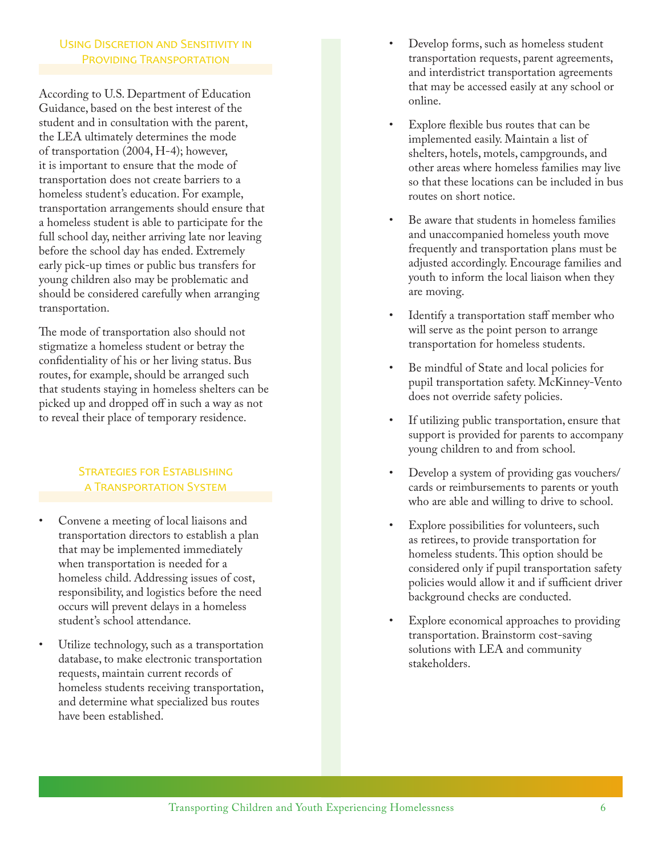# Using Discretion and Sensitivity in PROVIDING TRANSPORTATION

According to U.S. Department of Education Guidance, based on the best interest of the student and in consultation with the parent, the LEA ultimately determines the mode of transportation (2004, H-4); however, it is important to ensure that the mode of transportation does not create barriers to a homeless student's education. For example, transportation arrangements should ensure that a homeless student is able to participate for the full school day, neither arriving late nor leaving before the school day has ended. Extremely early pick-up times or public bus transfers for young children also may be problematic and should be considered carefully when arranging transportation.

The mode of transportation also should not stigmatize a homeless student or betray the confidentiality of his or her living status. Bus routes, for example, should be arranged such that students staying in homeless shelters can be picked up and dropped off in such a way as not to reveal their place of temporary residence.

# Strategies for Establishing a Transportation System

- Convene a meeting of local liaisons and transportation directors to establish a plan that may be implemented immediately when transportation is needed for a homeless child. Addressing issues of cost, responsibility, and logistics before the need occurs will prevent delays in a homeless student's school attendance.
	- Utilize technology, such as a transportation database, to make electronic transportation requests, maintain current records of homeless students receiving transportation, and determine what specialized bus routes have been established.
- Develop forms, such as homeless student transportation requests, parent agreements, and interdistrict transportation agreements that may be accessed easily at any school or online.
- Explore flexible bus routes that can be implemented easily. Maintain a list of shelters, hotels, motels, campgrounds, and other areas where homeless families may live so that these locations can be included in bus routes on short notice.
- Be aware that students in homeless families and unaccompanied homeless youth move frequently and transportation plans must be adjusted accordingly. Encourage families and youth to inform the local liaison when they are moving.
- Identify a transportation staff member who will serve as the point person to arrange transportation for homeless students.
- Be mindful of State and local policies for pupil transportation safety. McKinney-Vento does not override safety policies.
- If utilizing public transportation, ensure that support is provided for parents to accompany young children to and from school.
- Develop a system of providing gas vouchers/ cards or reimbursements to parents or youth who are able and willing to drive to school.
- Explore possibilities for volunteers, such as retirees, to provide transportation for homeless students. This option should be considered only if pupil transportation safety policies would allow it and if sufficient driver background checks are conducted.
- Explore economical approaches to providing transportation. Brainstorm cost-saving solutions with LEA and community stakeholders.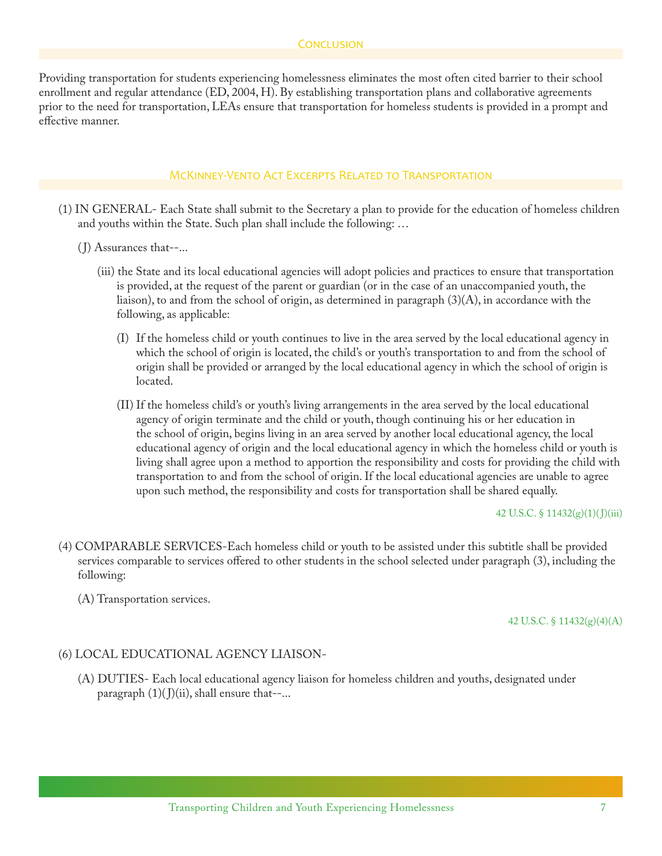Providing transportation for students experiencing homelessness eliminates the most often cited barrier to their school enrollment and regular attendance (ED, 2004, H). By establishing transportation plans and collaborative agreements prior to the need for transportation, LEAs ensure that transportation for homeless students is provided in a prompt and effective manner.

### McKinney-Vento Act Excerpts Related to Transportation

- (1) IN GENERAL- Each State shall submit to the Secretary a plan to provide for the education of homeless children and youths within the State. Such plan shall include the following: …
	- $J)$  Assurances that--...
		- (iii) the State and its local educational agencies will adopt policies and practices to ensure that transportation is provided, at the request of the parent or guardian (or in the case of an unaccompanied youth, the liaison), to and from the school of origin, as determined in paragraph (3)(A), in accordance with the following, as applicable:
			- (I) If the homeless child or youth continues to live in the area served by the local educational agency in which the school of origin is located, the child's or youth's transportation to and from the school of origin shall be provided or arranged by the local educational agency in which the school of origin is located.
			- (II) If the homeless child's or youth's living arrangements in the area served by the local educational agency of origin terminate and the child or youth, though continuing his or her education in the school of origin, begins living in an area served by another local educational agency, the local educational agency of origin and the local educational agency in which the homeless child or youth is living shall agree upon a method to apportion the responsibility and costs for providing the child with transportation to and from the school of origin. If the local educational agencies are unable to agree upon such method, the responsibility and costs for transportation shall be shared equally.

#### 42 U.S.C.  $\S$  11432(g)(1)(J)(iii)

- (4) COMPARABLE SERVICES-Each homeless child or youth to be assisted under this subtitle shall be provided services comparable to services offered to other students in the school selected under paragraph (3), including the following:
	- (A) Transportation services.

### 42 U.S.C. § 11432(g)(4)(A)

# (6) LOCAL EDUCATIONAL AGENCY LIAISON-

(A) DUTIES- Each local educational agency liaison for homeless children and youths, designated under paragraph  $(1)(J)(ii)$ , shall ensure that--...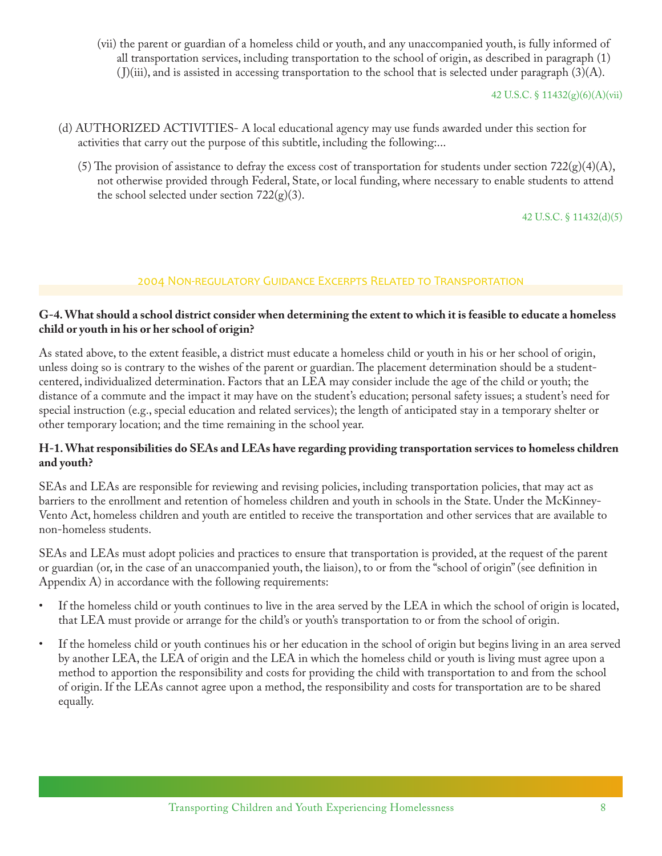(vii) the parent or guardian of a homeless child or youth, and any unaccompanied youth, is fully informed of all transportation services, including transportation to the school of origin, as described in paragraph (1)  $(J)(iii)$ , and is assisted in accessing transportation to the school that is selected under paragraph  $(3)(A)$ .

#### 42 U.S.C. § 11432(g)(6)(A)(vii)

- (d) AUTHORIZED ACTIVITIES- A local educational agency may use funds awarded under this section for activities that carry out the purpose of this subtitle, including the following:...
	- (5) The provision of assistance to defray the excess cost of transportation for students under section  $722(g)(4)(A)$ , not otherwise provided through Federal, State, or local funding, where necessary to enable students to attend the school selected under section  $722(g)(3)$ .

# 42 U.S.C. § 11432(d)(5)

# 2004 Non-regulatory Guidance Excerpts Related to Transportation

# **G-4. What should a school district consider when determining the extent to which it is feasible to educate a homeless child or youth in his or her school of origin?**

As stated above, to the extent feasible, a district must educate a homeless child or youth in his or her school of origin, unless doing so is contrary to the wishes of the parent or guardian. The placement determination should be a studentcentered, individualized determination. Factors that an LEA may consider include the age of the child or youth; the distance of a commute and the impact it may have on the student's education; personal safety issues; a student's need for special instruction (e.g., special education and related services); the length of anticipated stay in a temporary shelter or other temporary location; and the time remaining in the school year.

# **H-1. What responsibilities do SEAs and LEAs have regarding providing transportation services to homeless children and youth?**

SEAs and LEAs are responsible for reviewing and revising policies, including transportation policies, that may act as barriers to the enrollment and retention of homeless children and youth in schools in the State. Under the McKinney-Vento Act, homeless children and youth are entitled to receive the transportation and other services that are available to non-homeless students.

SEAs and LEAs must adopt policies and practices to ensure that transportation is provided, at the request of the parent or guardian (or, in the case of an unaccompanied youth, the liaison), to or from the "school of origin" (see definition in Appendix A) in accordance with the following requirements:

- If the homeless child or youth continues to live in the area served by the LEA in which the school of origin is located, that LEA must provide or arrange for the child's or youth's transportation to or from the school of origin.
- If the homeless child or youth continues his or her education in the school of origin but begins living in an area served by another LEA, the LEA of origin and the LEA in which the homeless child or youth is living must agree upon a method to apportion the responsibility and costs for providing the child with transportation to and from the school of origin. If the LEAs cannot agree upon a method, the responsibility and costs for transportation are to be shared equally.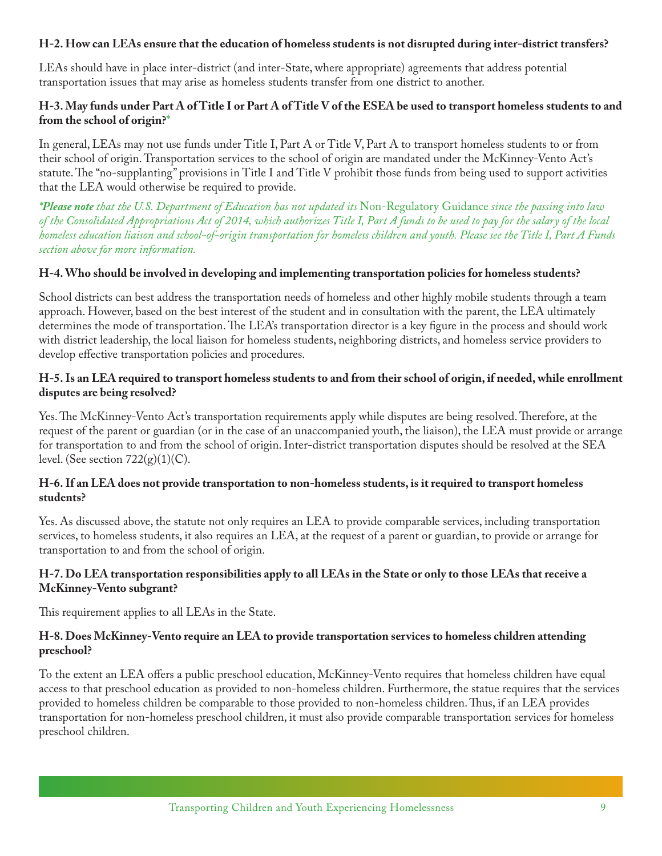# **H-2. How can LEAs ensure that the education of homeless students is not disrupted during inter-district transfers?**

LEAs should have in place inter-district (and inter-State, where appropriate) agreements that address potential transportation issues that may arise as homeless students transfer from one district to another.

# **H-3. May funds under Part A of Title I or Part A of Title V of the ESEA be used to transport homeless students to and from the school of origin?\***

In general, LEAs may not use funds under Title I, Part A or Title V, Part A to transport homeless students to or from their school of origin. Transportation services to the school of origin are mandated under the McKinney-Vento Act's statute. The "no-supplanting" provisions in Title I and Title V prohibit those funds from being used to support activities that the LEA would otherwise be required to provide.

*\*Please note that the U.S. Department of Education has not updated its* Non-Regulatory Guidance *since the passing into law of the Consolidated Appropriations Act of 2014, which authorizes Title I, Part A funds to be used to pay for the salary of the local homeless education liaison and school-of-origin transportation for homeless children and youth. Please see the [Title I, Part A Funds](#page-3-0) section above for more information.*

# **H-4. Who should be involved in developing and implementing transportation policies for homeless students?**

School districts can best address the transportation needs of homeless and other highly mobile students through a team approach. However, based on the best interest of the student and in consultation with the parent, the LEA ultimately determines the mode of transportation. The LEA's transportation director is a key figure in the process and should work with district leadership, the local liaison for homeless students, neighboring districts, and homeless service providers to develop effective transportation policies and procedures.

# **H-5. Is an LEA required to transport homeless students to and from their school of origin, if needed, while enrollment disputes are being resolved?**

Yes. The McKinney-Vento Act's transportation requirements apply while disputes are being resolved. Therefore, at the request of the parent or guardian (or in the case of an unaccompanied youth, the liaison), the LEA must provide or arrange for transportation to and from the school of origin. Inter-district transportation disputes should be resolved at the SEA level. (See section  $722(g)(1)(C)$ .

# **H-6. If an LEA does not provide transportation to non-homeless students, is it required to transport homeless students?**

Yes. As discussed above, the statute not only requires an LEA to provide comparable services, including transportation services, to homeless students, it also requires an LEA, at the request of a parent or guardian, to provide or arrange for transportation to and from the school of origin.

# **H-7. Do LEA transportation responsibilities apply to all LEAs in the State or only to those LEAs that receive a McKinney-Vento subgrant?**

This requirement applies to all LEAs in the State.

### **H-8. Does McKinney-Vento require an LEA to provide transportation services to homeless children attending preschool?**

To the extent an LEA offers a public preschool education, McKinney-Vento requires that homeless children have equal access to that preschool education as provided to non-homeless children. Furthermore, the statue requires that the services provided to homeless children be comparable to those provided to non-homeless children. Thus, if an LEA provides transportation for non-homeless preschool children, it must also provide comparable transportation services for homeless preschool children.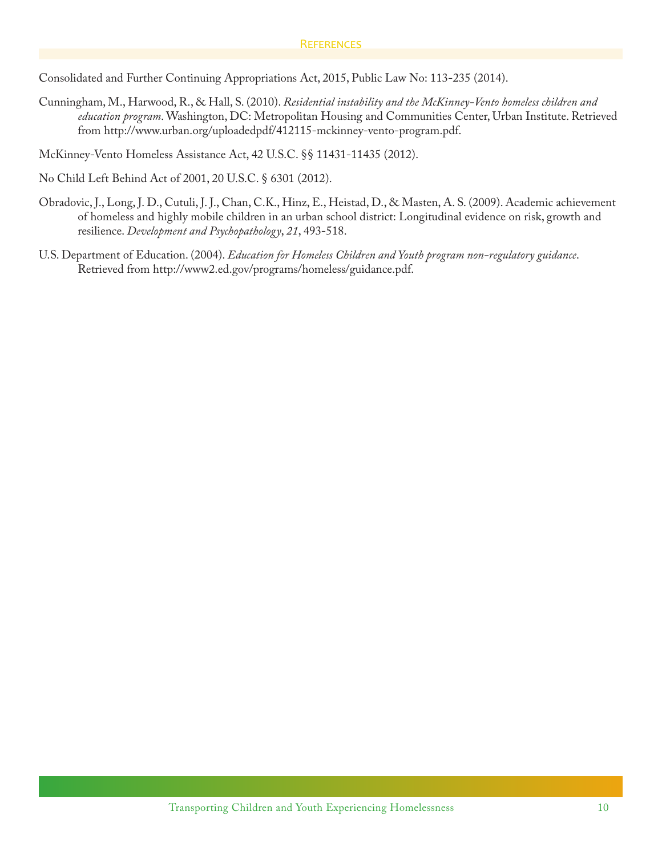Consolidated and Further Continuing Appropriations Act, 2015, Public Law No: 113-235 (2014).

Cunningham, M., Harwood, R., & Hall, S. (2010). *Residential instability and the McKinney-Vento homeless children and education program*. Washington, DC: Metropolitan Housing and Communities Center, Urban Institute. Retrieved from<http://www.urban.org/uploadedpdf/412115-mckinney-vento-program.pdf>.

McKinney-Vento Homeless Assistance Act, 42 U.S.C. §§ 11431-11435 (2012).

No Child Left Behind Act of 2001, 20 U.S.C. § 6301 (2012).

- Obradovic, J., Long, J. D., Cutuli, J. J., Chan, C.K., Hinz, E., Heistad, D., & Masten, A. S. (2009). Academic achievement of homeless and highly mobile children in an urban school district: Longitudinal evidence on risk, growth and resilience. *Development and Psychopathology*, *21*, 493-518.
- U.S. Department of Education. (2004). *Education for Homeless Children and Youth program non-regulatory guidance*. Retrieved from<http://www2.ed.gov/programs/homeless/guidance.pdf>.